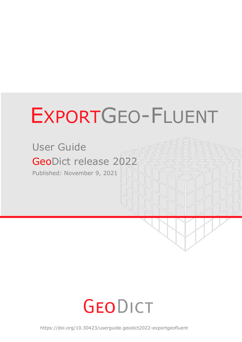# EXPORTGEO-FLUENT

User Guide GeoDict release 2022 Published: November 9, 2021

## GEODICT

https://doi.org/10.30423/userguide.geodict2022-exportgeofluent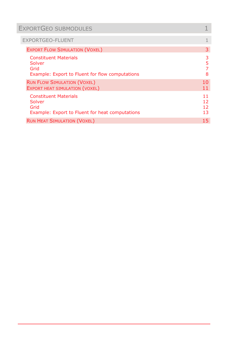| <b>EXPORTGEO SUBMODULES</b>                                                                       |                      |
|---------------------------------------------------------------------------------------------------|----------------------|
| <b>EXPORTGEO-FLUENT</b>                                                                           |                      |
| <b>EXPORT FLOW SIMULATION (VOXEL)</b>                                                             | 3                    |
| <b>Constituent Materials</b><br>Solver<br>Grid<br>Example: Export to Fluent for flow computations | 3<br>5<br>7<br>8     |
| <b>RUN FLOW SIMULATION (VOXEL)</b><br>EXPORT HEAT SIMULATION (VOXEL)                              | 10<br>11             |
| <b>Constituent Materials</b><br>Solver<br>Grid<br>Example: Export to Fluent for heat computations | 11<br>12<br>12<br>13 |
| <b>RUN HEAT SIMULATION (VOXEL)</b>                                                                | 15                   |
|                                                                                                   |                      |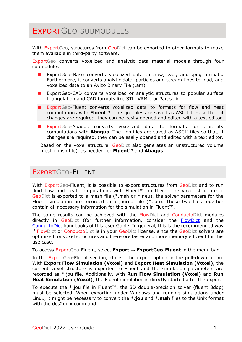## <span id="page-2-0"></span>**EXPORTGEO SUBMODULES**

With ExportGeo, structures from GeoDict can be exported to other formats to make them available in third-party software.

ExportGeo converts voxelized and analytic data material models through four submodules:

- ◼ ExportGeo–Base converts voxelized data to .raw, .vol, and .png formats. Furthermore, it converts analytic data, particles and stream-lines to .gad, and voxelized data to an Avizo Binary File (.am)
- ExportGeo-CAD converts voxelized or analytic structures to popular surface triangulation and CAD formats like STL, VRML, or Parasolid.
- ExportGeo-Fluent converts voxelized data to formats for flow and heat computations with **Fluent™**. The .jou files are saved as ASCII files so that, if changes are required, they can be easily opened and edited with a text editor.
- ExportGeo-Abaqus converts voxelized data to formats for elasticity computations with **Abaqus**. The .inp files are saved as ASCII files so that, if changes are required, they can be easily opened and edited with a text editor.

Based on the voxel structure, GeoDict also generates an unstructured volume mesh (.msh file), as needed for **Fluent™** and **Abaqus**.

## <span id="page-2-1"></span>EXPORTGEO-FLUENT

With ExportGeo-Fluent, it is possible to export structures from GeoDict and to run fluid flow and heat computations with Fluent<sup>™</sup> on them. The voxel structure in GeoDict is exported to a mesh file (\*.msh or \*.neu), the solver parameters for the Fluent simulation are recorded to a journal file (\*.jou). Those two files together contain all necessary information for the simulation in Fluent™.

The same results can be achieved with the FlowDict and ConductoDict modules directly in GeoDict (for further information, consider the [FlowDict](https://www.geodict.com/Support/UserGuide.php) and the [ConductoDict](https://www.geodict.com/Support/UserGuide.php) handbooks of this User Guide. In general, this is the recommended way if FlowDict or ConductoDict is in your GeoDict license, since the GeoDict solvers are optimized for voxel structures and therefore faster and more memory efficient for this use case.

To access ExportGeo-Fluent, select **Export → ExportGeo-Fluent** in the menu bar.

In the ExportGeo-Fluent section, choose the export option in the pull-down menu. With **Export Flow Simulation (Voxel)** and **Export Heat Simulation (Voxel)**, the current voxel structure is exported to Fluent and the simulation parameters are recorded as \*.jou file. Additionally, with **Run Flow Simulation (Voxel)** and **Run Heat Simulation (Voxel)**, the Fluent simulation is directly started after the export.

To execute the \*.jou file in Fluent™, the 3D double-precision solver (fluent 3ddp) must be selected. When exporting under Windows and running simulations under Linux, it might be necessary to convert the **\*.jou** and **\*.msh** files to the Unix format with the dos2unix command.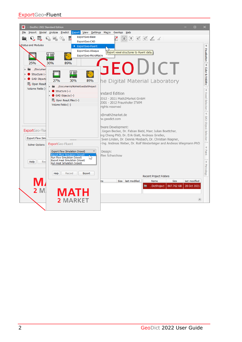#### ExportGeo-Fluent

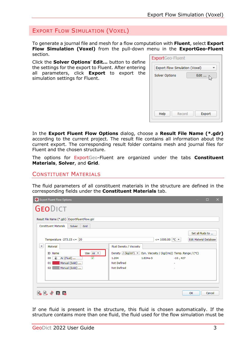## <span id="page-4-0"></span>EXPORT FLOW SIMULATION (VOXEL)

To generate a journal file and mesh for a flow computation with **Fluent**, select **Export Flow Simulation (Voxel)** from the pull-down menu in the **ExportGeo-Fluent** section.

Click the **Solver Options**' **Edit…** button to define the settings for the export to Fluent. After entering all parameters, click **Export** to export the simulation settings for Fluent.

| ExportGeo-Fluent               |               |
|--------------------------------|---------------|
| Export Flow Simulation (Voxel) |               |
| Solver Options                 | Edit $\cdots$ |
|                                |               |
|                                |               |
|                                |               |
|                                |               |
| Help<br>Record                 | Export        |
|                                |               |

In the **Export Fluent Flow Options** dialog, choose a **Result File Name (\*.gdr)** according to the current project. The result file contains all information about the current export. The corresponding result folder contains mesh and journal files for Fluent and the chosen structure.

The options for ExportGeo-Fluent are organized under the tabs **Constituent Materials**, **Solver**, and **Grid**.

#### <span id="page-4-1"></span>CONSTITUENT MATERIALS

The fluid parameters of all constituent materials in the structure are defined in the corresponding fields under the **Constituent Materials** tab.

| <b>O</b> Export Fluent Flow Options            |                                                                                 | $\times$<br>$\Box$            |
|------------------------------------------------|---------------------------------------------------------------------------------|-------------------------------|
| <b>GEODICT</b>                                 |                                                                                 |                               |
| Result File Name (*.gdr) ExportFluentFlow.gdr  |                                                                                 |                               |
| <b>Constituent Materials</b><br>Solver<br>Grid |                                                                                 |                               |
|                                                |                                                                                 | Set all Fluids to             |
| Temperature -273.15 <= $ 20$                   | $\le$ = 1000.00 °C $\sim$                                                       | <b>Edit Material Database</b> |
| $\ddot{}$<br>Material                          | Fluid Density / Viscosity                                                       |                               |
| Use $Air -$<br>ID Name                         | Density  / (kg/m <sup>3</sup> ) ▼ Dyn. Viscosity / (kg/(ms)) Temp. Range / (°C) |                               |
| $\blacktriangledown$<br>Air (Fluid)<br>ﻩ<br>00 | 1.204<br>1.834e-5<br>$-10,427$                                                  |                               |
| Manual (Solid)<br>01                           | Not Defined                                                                     |                               |
| Manual (Solid)<br>02                           | Not Defined                                                                     |                               |
|                                                |                                                                                 |                               |
|                                                |                                                                                 |                               |
|                                                |                                                                                 |                               |
| ◎ ● 8 隔<br>$\mathcal{D}_{\mathbf{C}}$          |                                                                                 | <b>OK</b><br>Cancel           |

If one fluid is present in the structure, this fluid is chosen automatically. If the structure contains more than one fluid, the fluid used for the flow simulation must be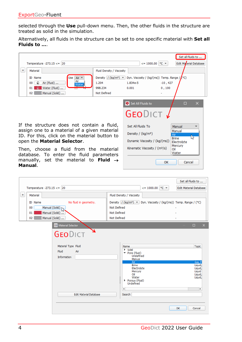selected through the **Use** pull-down menu. Then, the other fluids in the structure are treated as solid in the simulation.

Alternatively, all fluids in the structure can be set to one specific material with **Set all Fluids to …**.

| Temperature -273.15 <= $ 20$                                                                                                                                    |                                                              | $\le$ = 1000.00 °C $\sim$                                                                                                 |                     | Set all Fluids to<br>Edit Marerial Database |
|-----------------------------------------------------------------------------------------------------------------------------------------------------------------|--------------------------------------------------------------|---------------------------------------------------------------------------------------------------------------------------|---------------------|---------------------------------------------|
| $\pmb{+}$<br>Material<br>Use  <br>Air $\sqrt{ }$<br>ID Name<br>Air<br>$00 \mid \Diamond$<br>Air (Fluid)<br>Water<br>Water (Fluid)<br>01<br>Manual (Solid)<br>02 | Fluid Density / Viscosity<br>1.204<br>998.234<br>Not Defined | Density $\left  \int (kq/m^3) = \right $ Dyn. Viscosity / (kg/(ms)) Temp. Range / $\int (C^{\circ})$<br>1.834e-5<br>0.001 | $-10,427$<br>0,100  |                                             |
| If the structure does not contain a fluid,                                                                                                                      | Set All Fluids to<br><b>GEODICT</b>                          |                                                                                                                           | $\times$<br>□       |                                             |
| assign one to a material of a given material<br>ID. For this, click on the material button to<br>open the Material Selector.                                    |                                                              | Set All Fluids To<br>Density / $(kg/m^3)$<br>Dynamic Viscosity / (kg/(ms))                                                | Air<br><b>Brine</b> | Manual<br>Manual<br>hý<br>Electrolyte       |
| Then, choose a fluid from the material<br>database. To enter the fluid parameters<br>manually, set the material to <b>Fluid</b> $\rightarrow$<br>Manual.        |                                                              | Kinematic Viscosity / (m <sup>2</sup> /s)                                                                                 | Ωil<br>OK           | Mercury<br>Water<br>Cancel                  |

|                                                                                                                                                                                                              | Set all Fluids to                                                                                                                                                                                                                                                                       |
|--------------------------------------------------------------------------------------------------------------------------------------------------------------------------------------------------------------|-----------------------------------------------------------------------------------------------------------------------------------------------------------------------------------------------------------------------------------------------------------------------------------------|
| Temperature -273.15 <= $ 20$<br>$^{\rm +}$<br>Material<br>No fluid in geometry.<br>ID Name<br>Manual (Solid)<br>00<br>Manual (Solid)<br>01<br>Manual (Solid)<br>02<br>00 Material Selector<br><b>GEODICT</b> | $\lt$ = 1000.00 °C $\blacktriangledown$<br><b>Edit Material Database</b><br>Fluid Density / Viscosity<br>Density $\left/$ (kg/m <sup>3</sup> ) $\rightarrow$ Dyn. Viscosity / (kg/(ms)) Temp. Range / (°C)<br>Not Defined<br>Not Defined<br>Not Defined<br>$\times$<br>П                |
| Material Type Fluid<br>Fluid<br>Air<br><b>Information</b><br><b>Edit Material Database</b>                                                                                                                   | Name<br>Topic<br>$\triangleright$ Solid<br>▼ Pore (Fluid)<br>Undefined<br>Manual<br>Gas, F<br>Air<br><b>Brine</b><br>Liquid,<br>Electrolyte<br>Liquid,<br>Liquid<br>Mercury<br>Oil<br>Liquid,<br>Water<br>Liquid,<br>Porous (Fluid)<br>Undefined<br>$\blacktriangleleft$<br>Þ<br>Search |
|                                                                                                                                                                                                              | OK<br>Cancel                                                                                                                                                                                                                                                                            |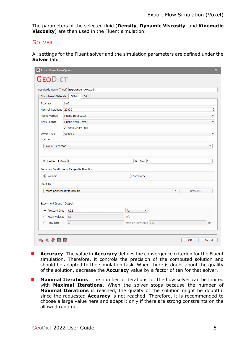The parameters of the selected fluid (**Density**, **Dynamic Viscosity**, and **Kinematic Viscosity**) are then used in the Fluent simulation.

## <span id="page-6-0"></span>**SOLVER**

All settings for the Fluent solver and the simulation parameters are defined under the **Solver** tab.

| <b>O</b> Export Fluent Flow Options            |                                               |                              |                         |        | $\Box$                   | ×                        |
|------------------------------------------------|-----------------------------------------------|------------------------------|-------------------------|--------|--------------------------|--------------------------|
| <b>GEODICT</b>                                 |                                               |                              |                         |        |                          |                          |
|                                                |                                               |                              |                         |        |                          |                          |
|                                                | Result File Name (*.gdr) ExportFluentFlow.gdr |                              |                         |        |                          |                          |
| <b>Constituent Materials</b>                   | Solver<br>Grid                                |                              |                         |        |                          |                          |
| Accuracy                                       | $1e-6$                                        |                              |                         |        |                          |                          |
| Maximal Iterations   20000                     |                                               |                              |                         |        |                          | ŧ                        |
| <b>Fluent Version</b>                          | Fluent 18 or Later                            |                              |                         |        |                          | $\overline{\mathbf v}$   |
| Mesh Format                                    | Fluent Mesh (.msh)                            |                              |                         |        |                          | $\overline{\phantom{a}}$ |
|                                                | V Write Binary Files                          |                              |                         |        |                          |                          |
| Solver Type                                    | Coupled                                       |                              |                         |        |                          | $\overline{\mathbf v}$   |
| <b>Direction</b>                               |                                               |                              |                         |        |                          |                          |
| Flow in Z-direction                            |                                               |                              |                         |        | $\overline{\phantom{a}}$ |                          |
|                                                |                                               |                              |                         |        |                          |                          |
| Embedded: InFlow 2                             |                                               | OutFlow 2                    |                         |        |                          |                          |
|                                                | Boundary Conditions in Tangential Direction   |                              |                         |        |                          |                          |
| • Periodic                                     |                                               | Symmetric                    |                         |        |                          |                          |
| Input file                                     |                                               |                              |                         |        |                          |                          |
| Create permeability journal file               |                                               |                              | $\overline{\mathbf{v}}$ | Browse |                          |                          |
|                                                |                                               |                              |                         |        |                          |                          |
| Experiment Input / Output                      |                                               |                              |                         |        |                          |                          |
| ● Pressure Drop                                | 0.02                                          | Pa<br>$\overline{\mathbf v}$ |                         |        |                          |                          |
| Mean Velocity                                  | 0.1                                           | m/s                          |                         |        |                          |                          |
| Flow Rate                                      | 60                                            | Vmin on Flow Area 100        |                         |        | cm <sup>2</sup>          |                          |
|                                                |                                               |                              |                         |        |                          |                          |
|                                                |                                               |                              |                         |        |                          |                          |
| $\boxed{\phi}$<br>$\boxed{\circ}$<br>ŵ<br>l ¢. |                                               |                              |                         | OK     | Cancel                   |                          |

- **Accuracy:** The value in **Accuracy** defines the convergence criterion for the Fluent simulation. Therefore, it controls the precision of the computed solution and should be adapted to the simulation task. When there is doubt about the quality of the solution, decrease the **Accuracy** value by a factor of ten for that solver.
- **Maximal Iterations:** The number of iterations for the flow solver can be limited with **Maximal Iterations**. When the solver stops because the number of **Maximal Iterations** is reached, the quality of the solution might be doubtful since the requested **Accuracy** is not reached. Therefore, it is recommended to choose a large value here and adapt it only if there are strong constraints on the allowed runtime.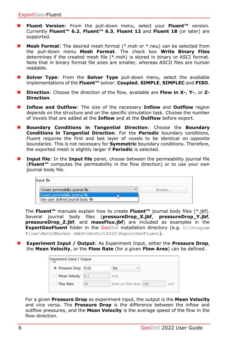- ◼ **Fluent Version**: From the pull-down menu, select your **Fluent™** version. Currently **Fluent™ 6.2**, **Fluent™ 6.3**, **Fluent 12** and **Fluent 18** (or later) are supported.
- **Mesh Format**: The desired mesh format (\*.msh or \*.neu) can be selected from the pull-down menu **Mesh Format**. The check box **Write Binary Files** determines if the created mesh file (\*.msh) is stored in binary or ASCI format. Note that in binary format file sizes are smaller, whereas ASCII files are human readable.
- **Solver Type**: From the **Solver Type** pull-down menu, select the available implementations of the **Fluent™** solver: **Coupled**, **SIMPLE**, **SIMPLEC** and **PISO**.
- **Direction**: Choose the direction of the flow, available are **Flow in X-, Y-,** or Z-**Direction**.
- **Inflow and Outflow:** The size of the necessary **Inflow** and **Outflow** region depends on the structure and on the specific simulation task. Choose the number of Voxels that are added at the **Inflow** and at the **Outflow** before export.
- ◼ **Boundary Conditions in Tangential Direction**: Choose the **Boundary Conditions in Tangential Direction**. For the **Periodic** boundary conditions, Fluent requires the first and last layer of voxels to be identical on opposite boundaries. This is not necessary for **Symmetric** boundary conditions. Therefore, the exported mesh is slightly larger if **Periodic** is selected.
- **Input file**: In the Input file panel, choose between the permeability journal file (**Fluent™** computes the permeability in the flow direction) or to use your own journal body file.

| Input file                         |        |
|------------------------------------|--------|
| Create permeability journal file   | Browse |
| Create permeability journal file   |        |
| Use user defined journal body file |        |

The **Fluent™** manuals explain how to create **Fluent™** journal body files (\*.jbf). Several journal body files (**pressureDrop\_X.jbf**, **pressureDrop\_Y.jbf**, **pressureDrop\_Z.jbf**, and **massFlux.jbf**) are included as examples in the **ExportGeoFluent** folder in the GeoDict installation directory (e.g. C:\Program Files\Math2Market GmbH\GeoDict2022\ExportGeoFluent).

**Experiment Input / Output:** As Experiment Input, either the **Pressure Drop**, the **Mean Velocity**, or the **Flow Rate** (for a given **Flow Area**) can be defined.

| ● Pressure Drop<br>0.02 | Pa                    |                 |
|-------------------------|-----------------------|-----------------|
| Mean Velocity<br>0.1    | m/s                   |                 |
| <b>Flow Rate</b><br>60  | Vmin on Flow Area 100 | cm <sup>2</sup> |

For a given **Pressure Drop** as experiment input, the output is the **Mean Velocity** and vice versa. The **Pressure Drop** is the difference between the inflow and outflow pressures, and the **Mean Velocity** is the average speed of the flow in the flow-direction.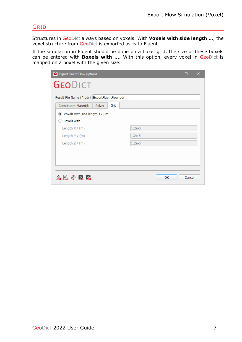#### <span id="page-8-0"></span>**GRID**

Structures in GeoDict always based on voxels. With **Voxels with side length …**, the voxel structure from GeoDict is exported as-is to Fluent.

If the simulation in Fluent should be done on a boxel grid, the size of these boxels can be entered with **Boxels with …**. With this option, every voxel in GeoDict is mapped on a boxel with the given size.

| <b>Q</b> Export Fluent Flow Options           |        |      |          |    | П      | $\times$ |
|-----------------------------------------------|--------|------|----------|----|--------|----------|
| <b>GEODICT</b>                                |        |      |          |    |        |          |
| Result File Name (*.gdr) ExportFluentFlow.gdr |        |      |          |    |        |          |
| <b>Constituent Materials</b>                  | Solver | Grid |          |    |        |          |
| <sup>●</sup> Voxels with side length 12 µm    |        |      |          |    |        |          |
| Boxels with                                   |        |      |          |    |        |          |
| Length $X / (m)$                              |        |      | $1.2e-5$ |    |        |          |
| Length $Y / (m)$                              |        |      | $1.2e-5$ |    |        |          |
| Length $Z / (m)$                              |        |      | $1.2e-5$ |    |        |          |
|                                               |        |      |          |    |        |          |
|                                               |        |      |          |    |        |          |
|                                               |        |      |          |    |        |          |
| $\circ$ $\circ$ $\circ$<br>l sa               |        |      |          | OK | Cancel |          |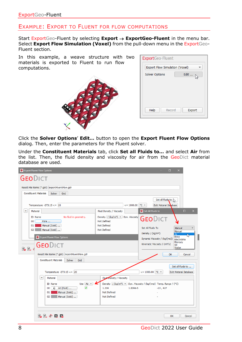## <span id="page-9-0"></span>EXAMPLE: EXPORT TO FLUENT FOR FLOW COMPUTATIONS

Start ExportGeo-Fluent by selecting **Export** → **ExportGeo-Fluent** in the menu bar. Select **Export Flow Simulation (Voxel)** from the pull-down menu in the ExportGeo-Fluent section.

In this example, a weave structure with two materials is exported to Fluent to run flow computations.



| ExportGeo-Fluent<br>Export Flow Simulation (Voxel) |                  |  |  |
|----------------------------------------------------|------------------|--|--|
| <b>Solver Options</b>                              | Edit $\bigwedge$ |  |  |
|                                                    |                  |  |  |
| Help<br>Record                                     | Export           |  |  |

Click the **Solver Options**' **Edit…** button to open the **Export Fluent Flow Options** dialog. Then, enter the parameters for the Fluent solver.

Under the **Constituent Materials** tab, click **Set all Fluids to…** and select **Air** from the list. Then, the fluid density and viscosity for air from the GeoDict material database are used.

| <b>O</b> Export Fluent Flow Options                                                                                      | $\Box$<br>$\times$                                                                                             |
|--------------------------------------------------------------------------------------------------------------------------|----------------------------------------------------------------------------------------------------------------|
| <b>GEODICT</b>                                                                                                           |                                                                                                                |
| Result File Name (*.gdr) ExportFluentFlow.gdr                                                                            |                                                                                                                |
| <b>Constituent Materials</b><br>Solver<br>Grid                                                                           |                                                                                                                |
|                                                                                                                          | Set all Fluids to A                                                                                            |
| Temperature -273.15 <= $ 20$                                                                                             | $\le$ = 1000.00 °C $\sim$<br>Edit Material Database                                                            |
| $\ddot{}$<br><b>Material</b>                                                                                             | Set All Fluids to<br>$\Box$<br>$\times$<br>Fluid Density / Viscosity                                           |
| No fluid in geometry.<br>ID Name<br>00<br>Pore                                                                           | Density $\left  / (kq/m^3) \right $ Dyn. Viscosity<br><b>GEODICT</b><br><b>Not Defined</b>                     |
| Manual (Solid)<br>01                                                                                                     | <b>Not Defined</b><br>Set All Fluids To<br>▼                                                                   |
| 02<br>Manual (Solid)                                                                                                     | Manual<br><b>Not Defined</b><br>Manual<br>Density / (kg/m <sup>3</sup> )                                       |
| <b>O</b> Export Fluent Flow Options                                                                                      | Air<br><b>Brine</b><br>Dynamic Viscosity / (kg/(ms))<br>Electrolyte                                            |
| <b>GEODICT</b>                                                                                                           | Mercury<br>Kinematic Viscosity / (m <sup>2</sup> /s)<br>Oil                                                    |
| $\circ$ $\circ$                                                                                                          | Water                                                                                                          |
| Result File Name (*.gdr) ExportFluentFlow.gdr                                                                            | OK<br>Cancel                                                                                                   |
| <b>Constituent Materials</b><br>Solver<br>Grid                                                                           |                                                                                                                |
|                                                                                                                          | Set all Fluids to                                                                                              |
| Temperature -273.15 <= $ 20$                                                                                             | $\lt$ = 1000.00 °C $\approx$<br><b>Edit Material Database</b>                                                  |
| $+$<br>Material                                                                                                          | Fluid Density / Viscosity                                                                                      |
| Use $Air -$<br>ID Name                                                                                                   | Density $\left  \int (kq/m^3) \right  \neq 0$ Dyn. Viscosity $\int (kq/(ms))$ Temp. Range $\int ({}^{\circ}C)$ |
| $\checkmark$<br>Air (Fluid)<br>00 <sup>1</sup><br>♦                                                                      | 1.204<br>1.834e-5<br>$-10, 427$                                                                                |
| Manual (Solid)<br>01<br>Manual (Solid)<br>02                                                                             | Not Defined<br>Not Defined                                                                                     |
|                                                                                                                          |                                                                                                                |
|                                                                                                                          |                                                                                                                |
|                                                                                                                          |                                                                                                                |
| $P_{\mathbf{a}}$ $\mathbf{e}_{\mathbf{a}}$ $\mathbf{e}_{\mathbf{b}}$ $\mathbf{e}_{\mathbf{a}}$ $\mathbf{e}_{\mathbf{a}}$ | OK<br>Cancel                                                                                                   |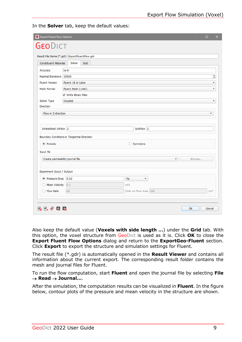In the **Solver** tab, keep the default values:

| <b>GEODICT</b>                                |                      |      |                                    |                          |
|-----------------------------------------------|----------------------|------|------------------------------------|--------------------------|
| Result File Name (*.gdr) ExportFluentFlow.gdr |                      |      |                                    |                          |
| <b>Constituent Materials</b>                  | Solver               | Grid |                                    |                          |
| Accuracy                                      | $1e-6$               |      |                                    |                          |
| Maximal Iterations                            | 20000                |      |                                    | ŧ                        |
| <b>Fluent Version</b>                         | Fluent 18 or Later   |      |                                    | $\overline{\phantom{a}}$ |
| Mesh Format                                   | Fluent Mesh (.msh)   |      |                                    | $\overline{\mathbf{v}}$  |
|                                               | V Write Binary Files |      |                                    |                          |
| Solver Type                                   | Coupled              |      |                                    | ÷.                       |
| <b>Direction</b>                              |                      |      |                                    |                          |
| Flow in Z-direction                           |                      |      |                                    | $\overline{\phantom{a}}$ |
| Embedded: InFlow 2                            |                      |      | OutFlow 2                          |                          |
| Boundary Conditions in Tangential Direction   |                      |      |                                    |                          |
| • Periodic                                    |                      |      | ◯ Symmetric                        |                          |
| Input file                                    |                      |      |                                    |                          |
| Create permeability journal file              |                      |      | Browse<br>$\overline{\phantom{a}}$ |                          |
| Experiment Input / Output                     |                      |      |                                    |                          |
| ● Pressure Drop                               | 0.02                 |      | Pa<br>$\overline{\mathbf{v}}$      |                          |
| Mean Velocity                                 | 0.1                  |      | m/s                                |                          |
|                                               | 60                   |      | Vmin on Flow Area 100              | cm <sup>2</sup>          |
| <b>Elow Rate</b>                              |                      |      |                                    |                          |

Also keep the default value (**Voxels with side length …**) under the **Grid** tab. With this option, the voxel structure from GeoDict is used as it is. Click **OK** to close the **Export Fluent Flow Options** dialog and return to the **ExportGeo-Fluent** section. Click **Export** to export the structure and simulation settings for Fluent.

The result file (\*.gdr) is automatically opened in the **Result Viewer** and contains all information about the current export. The corresponding result folder contains the mesh and journal files for Fluent.

To run the flow computation, start **Fluent** and open the journal file by selecting **File**  → **Read** → **Journal…**.

After the simulation, the computation results can be visualized in **Fluent**. In the figure below, contour plots of the pressure and mean velocity in the structure are shown.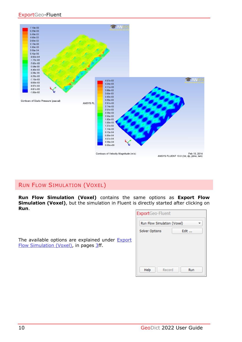#### ExportGeo-Fluent



## <span id="page-11-0"></span>RUN FLOW SIMULATION (VOXEL)

**Run Flow Simulation (Voxel)** contains the same options as **Export Flow Simulation (Voxel)**, but the simulation in Fluent is directly started after clicking on **Run**.  $\overline{r}$ ٦  $\sim$ 

|                                                                                                   | ExportGeo-Fluent<br>Run Flow Simulation (Voxel) |            |
|---------------------------------------------------------------------------------------------------|-------------------------------------------------|------------|
|                                                                                                   | Solver Options                                  | Edit       |
| The available options are explained under <b>Export</b><br>Flow Simulation (Voxel), in pages 3ff. |                                                 |            |
|                                                                                                   | Help<br>Record                                  | <b>Run</b> |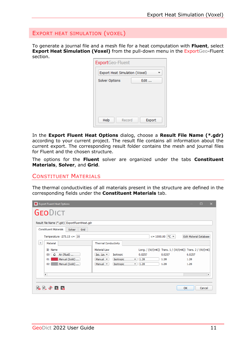#### <span id="page-12-0"></span>EXPORT HEAT SIMULATION (VOXEL)

To generate a journal file and a mesh file for a heat computation with **Fluent**, select **Export Heat Simulation (Voxel)** from the pull-down menu in the ExportGeo-Fluent section.

| ExportGeo-Fluent<br>Export Heat Simulation (Voxel) |        |  |  |
|----------------------------------------------------|--------|--|--|
| Solver Options                                     | Edit   |  |  |
|                                                    |        |  |  |
|                                                    |        |  |  |
|                                                    |        |  |  |
| Help<br>Record                                     | Export |  |  |

In the **Export Fluent Heat Options** dialog, choose a **Result File Name (\*.gdr)** according to your current project. The result file contains all information about the current export. The corresponding result folder contains the mesh and journal files for Fluent and the chosen structure.

The options for the **Fluent** solver are organized under the tabs **Constituent Materials**, **Solver**, and **Grid**.

#### <span id="page-12-1"></span>CONSTITUENT MATERIALS

The thermal conductivities of all materials present in the structure are defined in the corresponding fields under the **Constituent Materials** tab.

| <b>C</b> Export Fluent Heat Options            |                                            |                                 |                              | $\times$<br>П                                           |  |
|------------------------------------------------|--------------------------------------------|---------------------------------|------------------------------|---------------------------------------------------------|--|
| <b>GEODICT</b>                                 |                                            |                                 |                              |                                                         |  |
| Result File Name (*.gdr) ExportFluentHeat.gdr  |                                            |                                 |                              |                                                         |  |
| <b>Constituent Materials</b><br>Solver<br>Grid |                                            |                                 |                              |                                                         |  |
| Temperature -273.15 <= $ 20$                   |                                            |                                 | $\lt$ = 1000.00 °C $\approx$ | <b>Edit Material Database</b>                           |  |
| $\ddot{}$<br><b>Material</b>                   | <b>Thermal Conductivity</b>                |                                 |                              |                                                         |  |
| ID Name                                        | <b>Material Law</b>                        |                                 |                              | Long. / (W/(mK)) Trans. 1 / (W/(mK)) Trans. 2 / (W/(mK) |  |
| Air (Fluid)<br>00<br>$\triangle$               | Iso. Lav $\blacktriangledown$<br>Isotropic | 0.0257                          | 0.0257                       | 0.0257                                                  |  |
| Manual (Solid)<br>01                           | Manual $\blacktriangledown$<br>Isotropic   | 1.28<br>$\overline{\mathbf{v}}$ | 1.28                         | 1.28                                                    |  |
| Manual (Solid)<br>02                           | Manual $\blacktriangledown$<br>Isotropic   | 1.28<br>$\overline{\mathbf{v}}$ | 1.28                         | 1.28                                                    |  |
|                                                |                                            |                                 |                              |                                                         |  |
| 4                                              |                                            |                                 |                              | ٠                                                       |  |
|                                                |                                            |                                 |                              |                                                         |  |
| <b>I</b><br>l¢ì.<br>le. La<br>$\mathfrak{S}$   |                                            |                                 |                              | Cancel<br>OK                                            |  |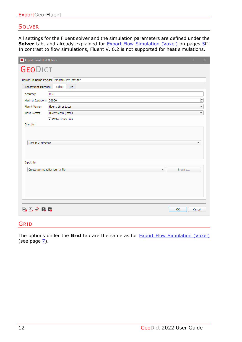## <span id="page-13-0"></span>**SOLVER**

All settings for the Fluent solver and the simulation parameters are defined under the **Solver** tab, and already explained for **Export Flow Simulation (Voxel)** on pages [5f](#page-6-0)f. In contrast to flow simulations, Fluent V. 6.2 is not supported for heat simulations.

| <b>O</b> Export Fluent Heat Options           |                      |      |                         |    |        | $\Box$                   | $\times$               |
|-----------------------------------------------|----------------------|------|-------------------------|----|--------|--------------------------|------------------------|
| <b>GEODICT</b>                                |                      |      |                         |    |        |                          |                        |
| Result File Name (*.gdr) ExportFluentHeat.gdr |                      |      |                         |    |        |                          |                        |
| <b>Constituent Materials</b>                  | Solver               | Grid |                         |    |        |                          |                        |
| Accuracy                                      | $1e-6$               |      |                         |    |        |                          |                        |
| Maximal Iterations 20000                      |                      |      |                         |    |        |                          | $\div$                 |
| <b>Fluent Version</b>                         | Fluent 18 or Later   |      |                         |    |        |                          | ▼                      |
| Mesh Format                                   | Fluent Mesh (.msh)   |      |                         |    |        |                          | $\overline{\mathbf v}$ |
| Direction                                     | V Write Binary Files |      |                         |    |        |                          |                        |
| Heat in Z-direction                           |                      |      |                         |    |        | $\overline{\phantom{a}}$ |                        |
| Input file                                    |                      |      |                         |    |        |                          |                        |
| Create permeability journal file              |                      |      | $\overline{\mathbf{v}}$ |    | Browse |                          |                        |
|                                               |                      |      |                         |    |        |                          |                        |
| $\mathbb{P}_{\mathbf{B}}$<br>同心<br>l ¢.       | Ŀ٣                   |      |                         | OK |        | Cancel                   |                        |

#### <span id="page-13-1"></span>**GRID**

The options under the **Grid** tab are the same as for [Export Flow Simulation](#page-4-0) (Voxel) (see page  $\overline{Z}$ ).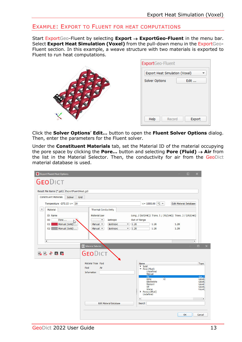## <span id="page-14-0"></span>EXAMPLE: EXPORT TO FLUENT FOR HEAT COMPUTATIONS

Start ExportGeo-Fluent by selecting **Export** → **ExportGeo-Fluent** in the menu bar. Select **Export Heat Simulation (Voxel)** from the pull-down menu in the ExportGeo-Fluent section. In this example, a weave structure with two materials is exported to Fluent to run heat computations.



| ExportGeo-Fluent               |        |  |  |
|--------------------------------|--------|--|--|
| Export Heat Simulation (Voxel) |        |  |  |
| Solver Options                 | Edit   |  |  |
|                                |        |  |  |
|                                |        |  |  |
|                                |        |  |  |
|                                |        |  |  |
| Help<br>Record                 | Export |  |  |

Click the **Solver Options**' **Edit…** button to open the **Fluent Solver Options** dialog. Then, enter the parameters for the Fluent solver.

Under the **Constituent Materials** tab, set the Material ID of the material occupying the pore space by clicking the **Pore…** button and selecting **Pore (Fluid)** → **Air** from the list in the Material Selector. Then, the conductivity for air from the GeoDict material database is used.

| <b>O</b> Export Fluent Heat Options                              |                                                                                                                                              |                                                                                                                                             | $\Box$<br>$\times$                                                |
|------------------------------------------------------------------|----------------------------------------------------------------------------------------------------------------------------------------------|---------------------------------------------------------------------------------------------------------------------------------------------|-------------------------------------------------------------------|
| <b>GEODICT</b>                                                   |                                                                                                                                              |                                                                                                                                             |                                                                   |
| Result File Name (*.gdr) ExportFluentHeat.gdr                    |                                                                                                                                              |                                                                                                                                             |                                                                   |
| <b>Constituent Materials</b><br>Solver<br>Grid                   |                                                                                                                                              |                                                                                                                                             |                                                                   |
| Temperature -273.15 <= $ 20$                                     |                                                                                                                                              | $\lt$ = 1000.00 °C $\lt$                                                                                                                    | Edit Material Database                                            |
| $\ddag$<br>Material                                              | <b>Thermal Conductivity</b>                                                                                                                  |                                                                                                                                             |                                                                   |
| ID Name<br>00 <sub>1</sub><br>Pore<br>ŀΥ<br>Manual (Solid)<br>01 | <b>Material Law</b><br>$\overline{\phantom{a}}$<br>Isotropic<br>Manual $\blacktriangledown$<br>1.28<br>Isotropic<br>$\overline{\phantom{a}}$ | Long. / (W/(mK)) Trans. 1 / (W/(mK)) Trans. 2 / (W/(mK)<br>Out of Range<br>1.28                                                             | 1.28                                                              |
| Manual (Solid)<br>02<br>$\overline{\phantom{0}}$                 | Manual $\blacktriangledown$<br>1.28<br>Isotropic<br>$\overline{\phantom{a}}$                                                                 | 1.28                                                                                                                                        | 1.28<br>×                                                         |
|                                                                  | 00 Material Selector                                                                                                                         |                                                                                                                                             | $\times$<br>$\Box$                                                |
| 唯しぐりも                                                            | <b>GEODICT</b>                                                                                                                               |                                                                                                                                             |                                                                   |
|                                                                  | Material Type Fluid                                                                                                                          | Name                                                                                                                                        | <b>Topic</b>                                                      |
| Fluid                                                            | Air<br><b>Information</b>                                                                                                                    | Solid<br>Þ.<br>Pore (Fluid)<br>Undefined<br>Manual                                                                                          |                                                                   |
|                                                                  |                                                                                                                                              | Air<br>$\mathbb{Z}$<br><b>Brine</b><br>Electrolyte<br>Mercury<br>Oil<br>Water<br>Porous (Fluid)<br><b>Undefined</b><br>$\blacktriangleleft$ | Gas, F<br>Liquid,<br>Liquid,<br>Liquid<br>Liquid,<br>Liquid,<br>Þ |
|                                                                  | <b>Edit Material Database</b>                                                                                                                | Search                                                                                                                                      |                                                                   |
|                                                                  |                                                                                                                                              |                                                                                                                                             | OK<br>Cancel                                                      |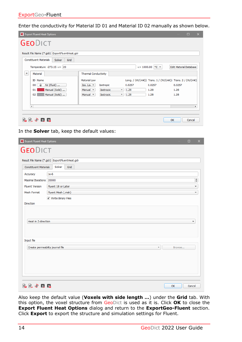Enter the conductivity for Material ID 01 and Material ID 02 manually as shown below.

| <b>O</b> Export Fluent Heat Options            |                                            |                                  |                                                         |                               | $\times$<br>$\Box$ |
|------------------------------------------------|--------------------------------------------|----------------------------------|---------------------------------------------------------|-------------------------------|--------------------|
| <b>GEODICT</b>                                 |                                            |                                  |                                                         |                               |                    |
| Result File Name (*.gdr) ExportFluentHeat.gdr  |                                            |                                  |                                                         |                               |                    |
| <b>Constituent Materials</b><br>Solver<br>Grid |                                            |                                  |                                                         |                               |                    |
| Temperature -273.15 <= $ 20$                   |                                            |                                  | $\le$ = 1000.00 °C $\sim$                               | <b>Edit Material Database</b> |                    |
| $\ddot{}$<br>Material                          | <b>Thermal Conductivity</b>                |                                  |                                                         |                               |                    |
| ID Name                                        | Material Law                               |                                  | Long. / (W/(mK)) Trans. 1 / (W/(mK)) Trans. 2 / (W/(mK) |                               |                    |
| Air (Fluid)<br>00<br>△                         | Isotropic<br>Iso. Lav $\blacktriangledown$ | 0.0257                           | 0.0257                                                  | 0.0257                        |                    |
| Manual (Solid)<br>01                           | Manual $\blacktriangledown$<br>Isotropic   | 1.28<br>$\overline{\phantom{a}}$ | 1.28                                                    | 1.28                          |                    |
| Manual (Solid)<br>02                           | Manual $\blacktriangledown$<br>Isotropic   | 1.28<br>$\overline{\mathbf{v}}$  | 1.28                                                    | 1.28                          |                    |
|                                                |                                            |                                  |                                                         |                               |                    |
| $\blacktriangleleft$                           |                                            |                                  |                                                         |                               | ×.                 |
|                                                |                                            |                                  |                                                         |                               |                    |
| Iv.<br>  xxii<br>Ŀа<br>œ.<br>(ب                |                                            |                                  |                                                         | OK                            | Cancel             |

In the **Solver** tab, keep the default values:

| <b>O</b> Export Fluent Heat Options          |                                               |        | $\times$<br>$\Box$       |
|----------------------------------------------|-----------------------------------------------|--------|--------------------------|
| <b>GEODICT</b>                               |                                               |        |                          |
|                                              | Result File Name (*.gdr) ExportFluentHeat.gdr |        |                          |
| <b>Constituent Materials</b>                 | Solver<br>Grid                                |        |                          |
| Accuracy                                     | $1e-6$                                        |        |                          |
| Maximal Iterations   20000                   |                                               |        | ŧ                        |
| <b>Fluent Version</b>                        | Fluent 18 or Later                            |        | $\overline{\phantom{a}}$ |
| Mesh Format                                  | Fluent Mesh (.msh)                            |        | $\overline{\mathbf{v}}$  |
| Direction                                    | V Write Binary Files                          |        |                          |
| Heat in Z-direction                          |                                               |        | v                        |
| Input file                                   |                                               |        |                          |
| Create permeability journal file             | $\overline{\mathbf v}$                        | Browse |                          |
| $\mathbb{Z}^1$<br>$\boxed{\circ}$<br>⊙<br>Ŀ. | l se                                          | OK     | Cancel                   |

Also keep the default value (**Voxels with side length …**) under the **Grid** tab. With this option, the voxel structure from GeoDict is used as it is. Click **OK** to close the **Export Fluent Heat Options** dialog and return to the **ExportGeo-Fluent** section. Click **Export** to export the structure and simulation settings for Fluent.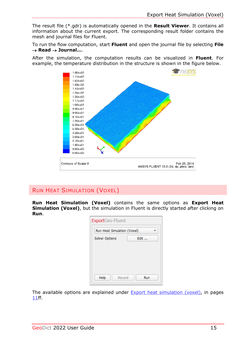The result file (\*.gdr) is automatically opened in the **Result Viewer**. It contains all information about the current export. The corresponding result folder contains the mesh and journal files for Fluent.

To run the flow computation, start **Fluent** and open the journal file by selecting **File**  → **Read** → **Journal…**.

After the simulation, the computation results can be visualized in **Fluent**. For example, the temperature distribution in the structure is shown in the figure below.



## <span id="page-16-0"></span>RUN HEAT SIMULATION (VOXEL)

**Run Heat Simulation (Voxel)** contains the same options as **Export Heat Simulation (Voxel)**, but the simulation in Fluent is directly started after clicking on **Run**.

| ExportGeo-Fluent            |      |  |  |
|-----------------------------|------|--|--|
| Run Heat Simulation (Voxel) |      |  |  |
| Solver Options              | Edit |  |  |
|                             |      |  |  |
|                             |      |  |  |
|                             |      |  |  |
| Help<br>Record              | Run  |  |  |

The available options are explained under [Export heat simulation \(voxel\),](#page-12-0) in pages [11f](#page-12-0)f.